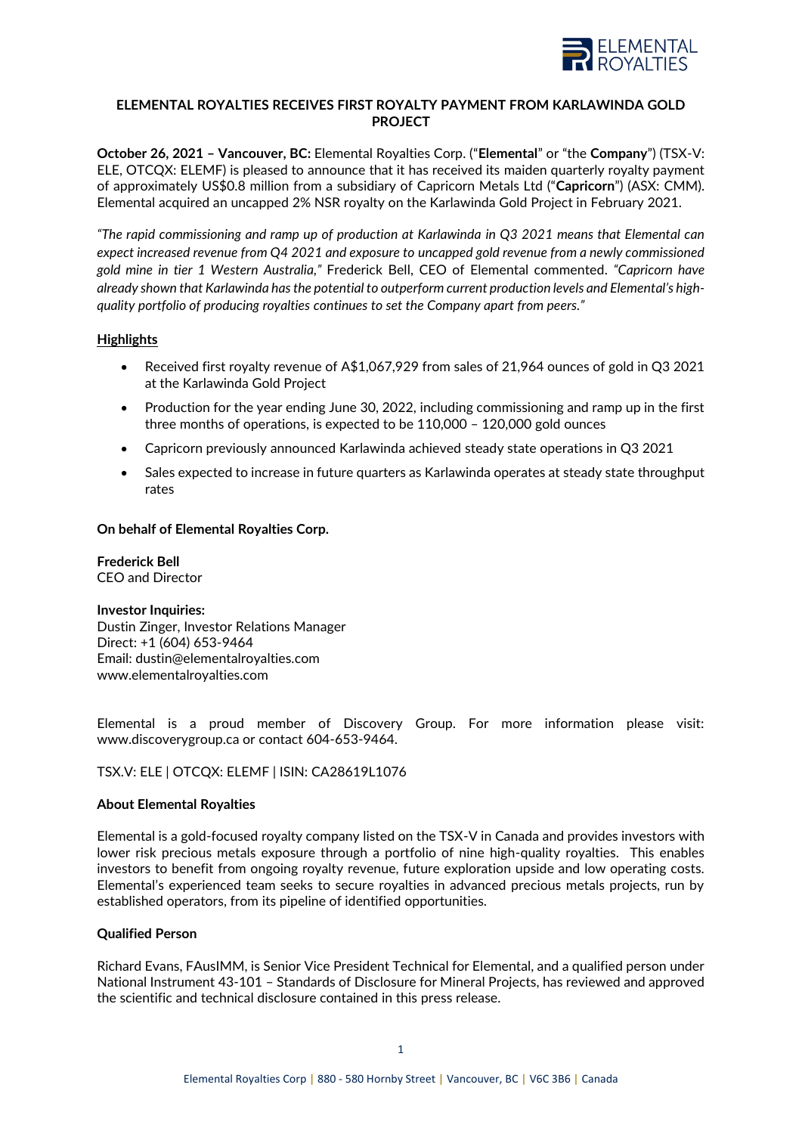

# **ELEMENTAL ROYALTIES RECEIVES FIRST ROYALTY PAYMENT FROM KARLAWINDA GOLD PROJECT**

**October 26, 2021 – Vancouver, BC:** Elemental Royalties Corp. ("**Elemental**" or "the **Company**") (TSX-V: ELE, OTCQX: ELEMF) is pleased to announce that it has received its maiden quarterly royalty payment of approximately US\$0.8 million from a subsidiary of Capricorn Metals Ltd ("**Capricorn**") (ASX: CMM). Elemental acquired an uncapped 2% NSR royalty on the Karlawinda Gold Project in February 2021.

*"The rapid commissioning and ramp up of production at Karlawinda in Q3 2021 means that Elemental can expect increased revenue from Q4 2021 and exposure to uncapped gold revenue from a newly commissioned gold mine in tier 1 Western Australia,"* Frederick Bell, CEO of Elemental commented. *"Capricorn have already shown that Karlawinda has the potential to outperform current production levels and Elemental's highquality portfolio of producing royalties continues to set the Company apart from peers."*

# **Highlights**

- Received first royalty revenue of A\$1,067,929 from sales of 21,964 ounces of gold in Q3 2021 at the Karlawinda Gold Project
- Production for the year ending June 30, 2022, including commissioning and ramp up in the first three months of operations, is expected to be 110,000 – 120,000 gold ounces
- Capricorn previously announced Karlawinda achieved steady state operations in Q3 2021
- Sales expected to increase in future quarters as Karlawinda operates at steady state throughput rates

# **On behalf of Elemental Royalties Corp.**

#### **Frederick Bell** CEO and Director

## **Investor Inquiries:**

Dustin Zinger, Investor Relations Manager Direct: +1 (604) 653-9464 Email: [dustin@elementalroyalties.com](mailto:dustin@elementalroyalties.com) [www.elementalroyalties.com](http://www.elementalroyalties.com/)

Elemental is a proud member of Discovery Group. For more information please visit: [www.discoverygroup.ca](http://www.discoverygroup.ca/) or contact 604-653-9464.

## TSX.V: ELE | OTCQX: ELEMF | ISIN: CA28619L1076

## **About Elemental Royalties**

Elemental is a gold-focused royalty company listed on the TSX-V in Canada and provides investors with lower risk precious metals exposure through a portfolio of nine high-quality royalties. This enables investors to benefit from ongoing royalty revenue, future exploration upside and low operating costs. Elemental's experienced team seeks to secure royalties in advanced precious metals projects, run by established operators, from its pipeline of identified opportunities.

## **Qualified Person**

Richard Evans, FAusIMM, is Senior Vice President Technical for Elemental, and a qualified person under National Instrument 43-101 – Standards of Disclosure for Mineral Projects, has reviewed and approved the scientific and technical disclosure contained in this press release.